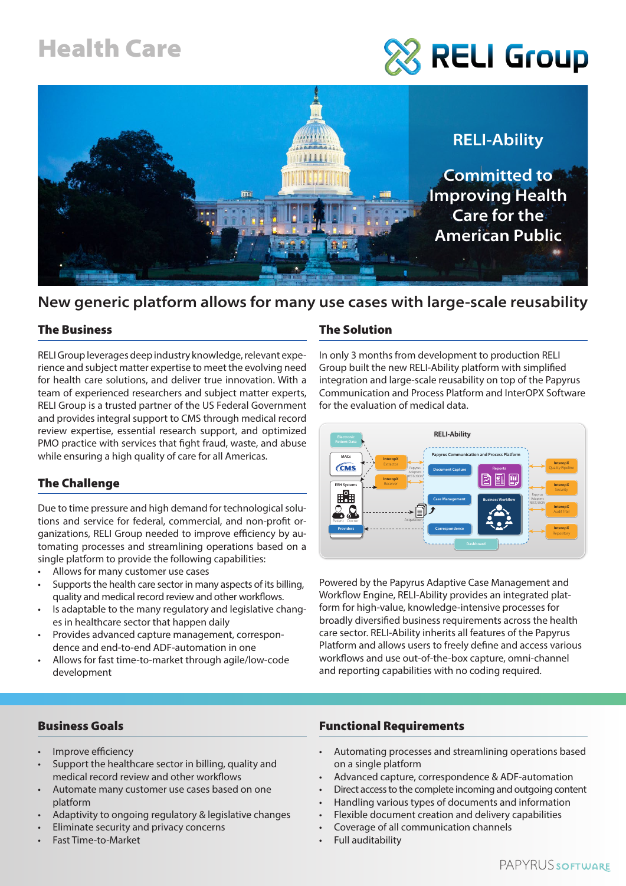## Health Care

# **RELI Group**



### **New generic platform allows for many use cases with large-scale reusability**

#### The Business

RELI Group leverages deep industry knowledge, relevant experience and subject matter expertise to meet the evolving need for health care solutions, and deliver true innovation. With a team of experienced researchers and subject matter experts, RELI Group is a trusted partner of the US Federal Government and provides integral support to CMS through medical record review expertise, essential research support, and optimized PMO practice with services that fight fraud, waste, and abuse while ensuring a high quality of care for all Americas.

#### The Challenge

Due to time pressure and high demand for technological solutions and service for federal, commercial, and non-profit organizations, RELI Group needed to improve efficiency by automating processes and streamlining operations based on a single platform to provide the following capabilities:

- Allows for many customer use cases
- Supports the health care sector in many aspects of its billing, quality and medical record review and other workflows.
- Is adaptable to the many regulatory and legislative changes in healthcare sector that happen daily
- Provides advanced capture management, correspondence and end-to-end ADF-automation in one
- Allows for fast time-to-market through agile/low-code development

#### The Solution

In only 3 months from development to production RELI Group built the new RELI-Ability platform with simplified integration and large-scale reusability on top of the Papyrus Communication and Process Platform and InterOPX Software for the evaluation of medical data.



Powered by the Papyrus Adaptive Case Management and Workflow Engine, RELI-Ability provides an integrated platform for high-value, knowledge-intensive processes for broadly diversified business requirements across the health care sector. RELI-Ability inherits all features of the Papyrus Platform and allows users to freely define and access various workflows and use out-of-the-box capture, omni-channel and reporting capabilities with no coding required.

#### Business Goals

- Improve efficiency
- Support the healthcare sector in billing, quality and medical record review and other workflows
- Automate many customer use cases based on one platform
- Adaptivity to ongoing regulatory & legislative changes
- Eliminate security and privacy concerns
- Fast Time-to-Market

#### Functional Requirements

- Automating processes and streamlining operations based on a single platform
- Advanced capture, correspondence & ADF-automation
- Direct access to the complete incoming and outgoing content
- Handling various types of documents and information
- Flexible document creation and delivery capabilities
- Coverage of all communication channels
- Full auditability